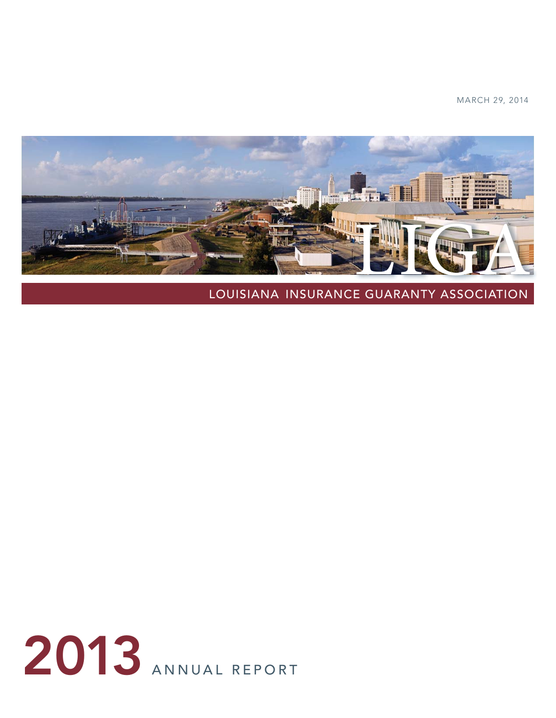MARCH 29, 2014



# LOUISIANA INSURANCE GUARANTY ASSOCIATION

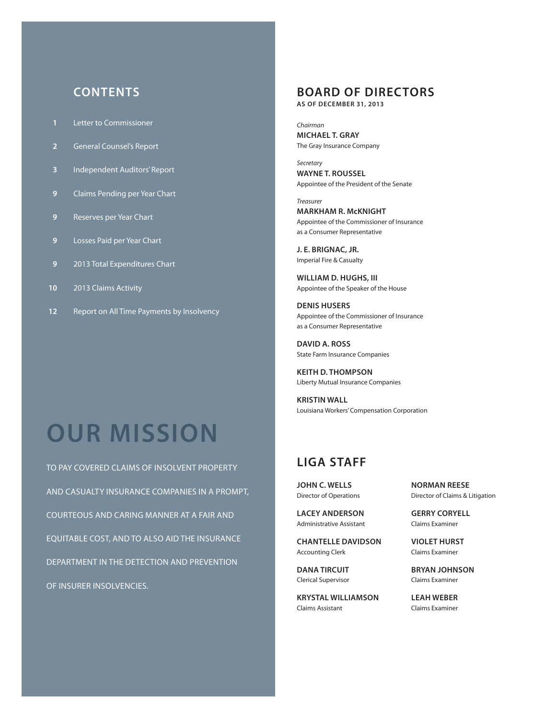### **CONTENTS**

- **1** Letter to Commissioner
- **2** General Counsel's Report
- **3** Independent Auditors' Report
- **9** Claims Pending per Year Chart
- **9** Reserves per Year Chart
- **9** Losses Paid per Year Chart
- **9** 2013 Total Expenditures Chart
- **10** 2013 Claims Activity
- **12** Report on All Time Payments by Insolvency

# **OUR MISSION**

TO PAY COVERED CLAIMS OF INSOLVENT PROPERTY AND CASUALTY INSURANCE COMPANIES IN A PROMPT, COURTEOUS AND CARING MANNER AT A FAIR AND EQUITABLE COST, AND TO ALSO AID THE INSURANCE DEPARTMENT IN THE DETECTION AND PREVENTION OF INSURER INSOLVENCIES.

# **BOARD OF DIRECTORS**

**AS OF DECEMBER 31, 2013**

Chairman **MICHAEL T. GRAY** The Gray Insurance Company

Secretary **WAYNE T. ROUSSEL** Appointee of the President of the Senate

Treasurer **MARKHAM R. McKNIGHT** Appointee of the Commissioner of Insurance as a Consumer Representative

**J. E. BRIGNAC, JR.** Imperial Fire & Casualty

**WILLIAM D. HUGHS, III** Appointee of the Speaker of the House

**DENIS HUSERS** Appointee of the Commissioner of Insurance as a Consumer Representative

**DAVID A. ROSS** State Farm Insurance Companies

**KEITH D. THOMPSON** Liberty Mutual Insurance Companies

**KRISTIN WALL** Louisiana Workers' Compensation Corporation

### **LIGA STAFF**

**JOHN C. WELLS** Director of Operations

**LACEY ANDERSON** Administrative Assistant

**CHANTELLE DAVIDSON** Accounting Clerk

**DANA TIRCUIT** Clerical Supervisor

**KRYSTAL WILLIAMSON** Claims Assistant

**NORMAN REESE** Director of Claims & Litigation

**GERRY CORYELL** Claims Examiner

**VIOLET HURST** Claims Examiner

**BRYAN JOHNSON** Claims Examiner

**LEAH WEBER** Claims Examiner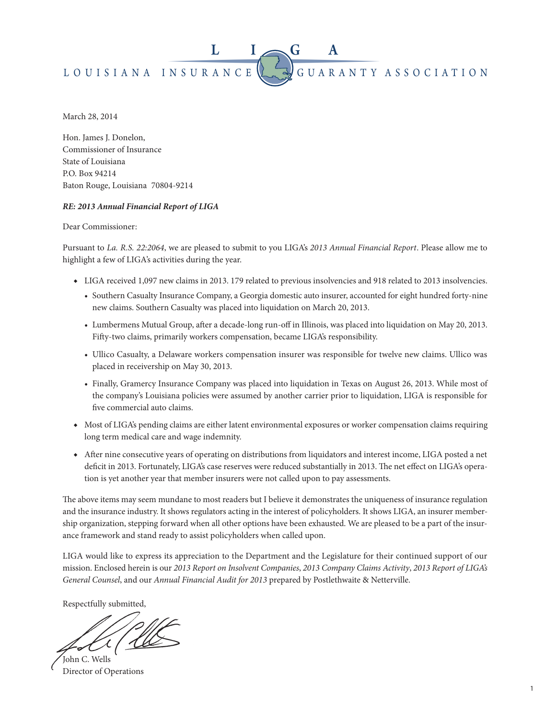$L \qquad I \qquad G \qquad A$  $L \cap L \cap G$  A L O U I S I A N A I N S U R A N C E GO G U A R A N T Y A S S O C I A T I O N

March 28, 2014

Hon. James J. Donelon, Commissioner of Insurance State of Louisiana P.O. Box 94214 Baton Rouge, Louisiana 70804-9214

#### *RE: 2013 Annual Financial Report of LIGA*

Dear Commissioner:

Pursuant to *La. R.S. 22:2064*, we are pleased to submit to you LIGA's *2013 Annual Financial Report*. Please allow me to highlight a few of LIGA's activities during the year.

- ◆ LIGA received 1,097 new claims in 2013. 179 related to previous insolvencies and 918 related to 2013 insolvencies.
	- Southern Casualty Insurance Company, a Georgia domestic auto insurer, accounted for eight hundred forty-nine new claims. Southern Casualty was placed into liquidation on March 20, 2013.
	- Lumbermens Mutual Group, after a decade-long run-off in Illinois, was placed into liquidation on May 20, 2013. Fifty-two claims, primarily workers compensation, became LIGA's responsibility.
	- Ullico Casualty, a Delaware workers compensation insurer was responsible for twelve new claims. Ullico was placed in receivership on May 30, 2013.
	- Finally, Gramercy Insurance Company was placed into liquidation in Texas on August 26, 2013. While most of the company's Louisiana policies were assumed by another carrier prior to liquidation, LIGA is responsible for five commercial auto claims.
- $*$  Most of LIGA's pending claims are either latent environmental exposures or worker compensation claims requiring long term medical care and wage indemnity.
- After nine consecutive years of operating on distributions from liquidators and interest income, LIGA posted a net deficit in 2013. Fortunately, LIGA's case reserves were reduced substantially in 2013. The net effect on LIGA's operation is yet another year that member insurers were not called upon to pay assessments.

The above items may seem mundane to most readers but I believe it demonstrates the uniqueness of insurance regulation and the insurance industry. It shows regulators acting in the interest of policyholders. It shows LIGA, an insurer membership organization, stepping forward when all other options have been exhausted. We are pleased to be a part of the insurance framework and stand ready to assist policyholders when called upon.

LIGA would like to express its appreciation to the Department and the Legislature for their continued support of our mission. Enclosed herein is our *2013 Report on Insolvent Companies*, *2013 Company Claims Activity*, *2013 Report of LIGA's General Counsel*, and our *Annual Financial Audit for 2013* prepared by Postlethwaite & Netterville.

Respectfully submitted,

John C. Wells Director of Operations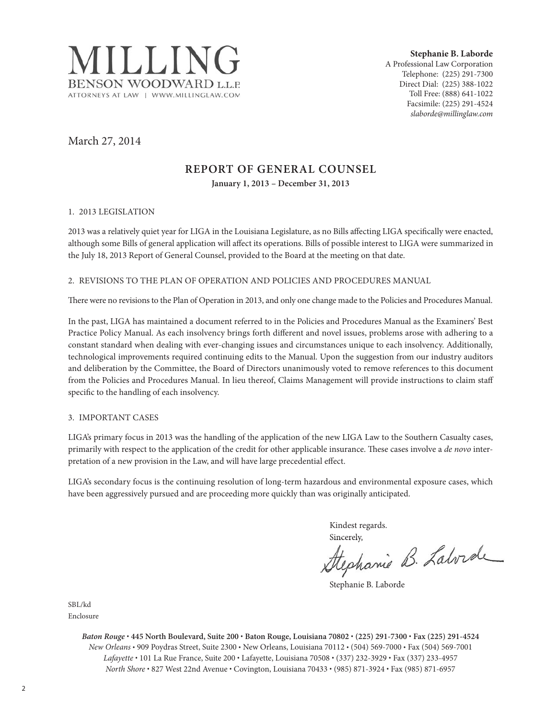

Stephanie B. Laborde A Professional Law Corporation Telephone: (225) 291-7300 Direct Dial: (225) 388-1022 Toll Free: (888) 641-1022 Facsimile: (225) 291-4524 slaborde@millinglaw.com

March 27, 2014

### **REPORT OF GENERAL COUNSEL** January 1, 2013 - December 31, 2013

1. 2013 LEGISLATION

2013 was a relatively quiet year for LIGA in the Louisiana Legislature, as no Bills affecting LIGA specifically were enacted, although some Bills of general application will affect its operations. Bills of possible interest to LIGA were summarized in the July 18, 2013 Report of General Counsel, provided to the Board at the meeting on that date.

2. REVISIONS TO THE PLAN OF OPERATION AND POLICIES AND PROCEDURES MANUAL

There were no revisions to the Plan of Operation in 2013, and only one change made to the Policies and Procedures Manual.

In the past, LIGA has maintained a document referred to in the Policies and Procedures Manual as the Examiners' Best Practice Policy Manual. As each insolvency brings forth different and novel issues, problems arose with adhering to a constant standard when dealing with ever-changing issues and circumstances unique to each insolvency. Additionally, technological improvements required continuing edits to the Manual. Upon the suggestion from our industry auditors and deliberation by the Committee, the Board of Directors unanimously voted to remove references to this document from the Policies and Procedures Manual. In lieu thereof, Claims Management will provide instructions to claim staff specific to the handling of each insolvency.

#### 3. IMPORTANT CASES

LIGA's primary focus in 2013 was the handling of the application of the new LIGA Law to the Southern Casualty cases, primarily with respect to the application of the credit for other applicable insurance. These cases involve a de novo interpretation of a new provision in the Law, and will have large precedential effect.

LIGA's secondary focus is the continuing resolution of long-term hazardous and environmental exposure cases, which have been aggressively pursued and are proceeding more quickly than was originally anticipated.

> Kindest regards. Sincerely,

Stephanie B. Laborde

Stephanie B. Laborde

SBL/kd Enclosure

> Baton Rouge · 445 North Boulevard, Suite 200 · Baton Rouge, Louisiana 70802 · (225) 291-7300 · Fax (225) 291-4524 New Orleans · 909 Poydras Street, Suite 2300 · New Orleans, Louisiana 70112 · (504) 569-7000 · Fax (504) 569-7001 Lafayette • 101 La Rue France, Suite 200 • Lafayette, Louisiana 70508 • (337) 232-3929 • Fax (337) 233-4957 North Shore · 827 West 22nd Avenue · Covington, Louisiana 70433 · (985) 871-3924 · Fax (985) 871-6957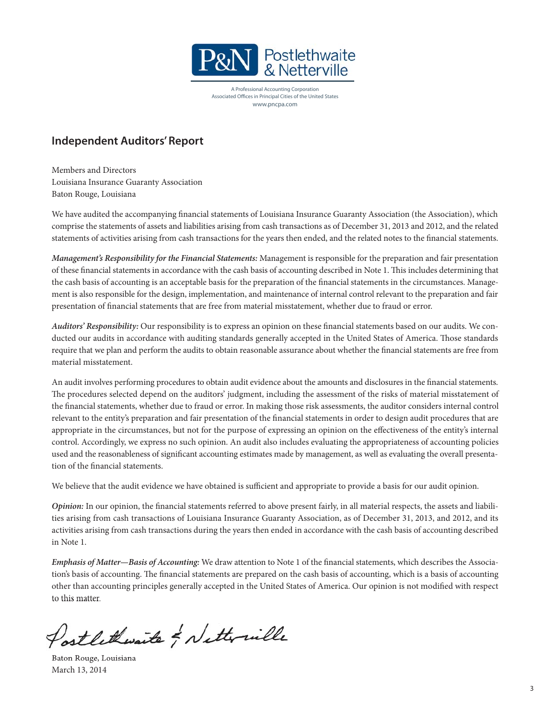

A Professional Accounting Corporation Associated Offices in Principal Cities of the United States www.pncpa.com

### **Independent Auditors' Report**

Members and Directors Louisiana Insurance Guaranty Association Baton Rouge, Louisiana

We have audited the accompanying financial statements of Louisiana Insurance Guaranty Association (the Association), which comprise the statements of assets and liabilities arising from cash transactions as of December 31, 2013 and 2012, and the related statements of activities arising from cash transactions for the years then ended, and the related notes to the financial statements.

*Management's Responsibility for the Financial Statements:* Management is responsible for the preparation and fair presentation of these financial statements in accordance with the cash basis of accounting described in Note 1. This includes determining that the cash basis of accounting is an acceptable basis for the preparation of the financial statements in the circumstances. Management is also responsible for the design, implementation, and maintenance of internal control relevant to the preparation and fair presentation of financial statements that are free from material misstatement, whether due to fraud or error.

Auditors' Responsibility: Our responsibility is to express an opinion on these financial statements based on our audits. We conducted our audits in accordance with auditing standards generally accepted in the United States of America. Those standards require that we plan and perform the audits to obtain reasonable assurance about whether the financial statements are free from material misstatement.

An audit involves performing procedures to obtain audit evidence about the amounts and disclosures in the financial statements. The procedures selected depend on the auditors' judgment, including the assessment of the risks of material misstatement of the financial statements, whether due to fraud or error. In making those risk assessments, the auditor considers internal control relevant to the entity's preparation and fair presentation of the financial statements in order to design audit procedures that are appropriate in the circumstances, but not for the purpose of expressing an opinion on the effectiveness of the entity's internal control. Accordingly, we express no such opinion. An audit also includes evaluating the appropriateness of accounting policies used and the reasonableness of significant accounting estimates made by management, as well as evaluating the overall presentation of the financial statements.

We believe that the audit evidence we have obtained is sufficient and appropriate to provide a basis for our audit opinion.

*Opinion:* In our opinion, the financial statements referred to above present fairly, in all material respects, the assets and liabilities arising from cash transactions of Louisiana Insurance Guaranty Association, as of December 31, 2013, and 2012, and its activities arising from cash transactions during the years then ended in accordance with the cash basis of accounting described in Note 1.

*Emphasis of Matter—Basis of Accounting*: We draw attention to Note 1 of the financial statements, which describes the Association's basis of accounting. The financial statements are prepared on the cash basis of accounting, which is a basis of accounting other than accounting principles generally accepted in the United States of America. Our opinion is not modified with respect to this matter.

ostlethwaite & Netterville

Baton Rouge, Louisiana March 13, 2014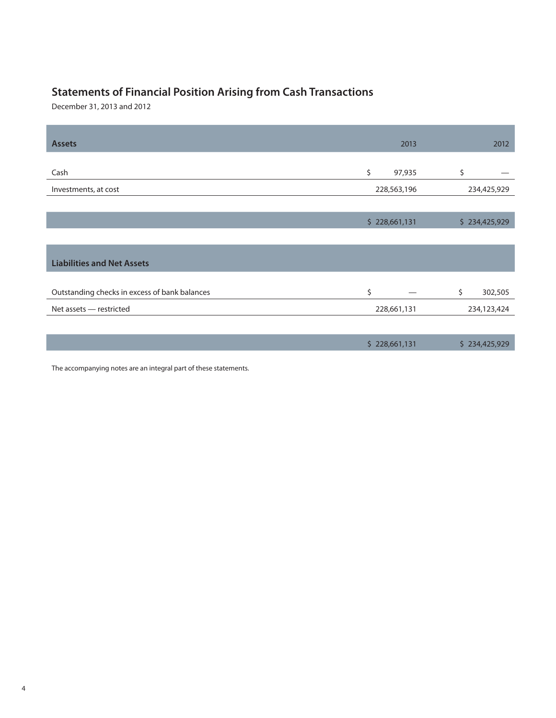# **Statements of Financial Position Arising from Cash Transactions**

December 31, 2013 and 2012

| <b>Assets</b>                                 | 2013          | 2012          |
|-----------------------------------------------|---------------|---------------|
| Cash                                          | \$<br>97,935  | \$            |
| Investments, at cost                          | 228,563,196   | 234,425,929   |
|                                               |               |               |
|                                               | \$228,661,131 | \$234,425,929 |
|                                               |               |               |
| <b>Liabilities and Net Assets</b>             |               |               |
|                                               |               |               |
| Outstanding checks in excess of bank balances | \$            | \$<br>302,505 |
| Net assets - restricted                       | 228,661,131   | 234,123,424   |
|                                               |               |               |
|                                               | \$228,661,131 | \$234,425,929 |

The accompanying notes are an integral part of these statements.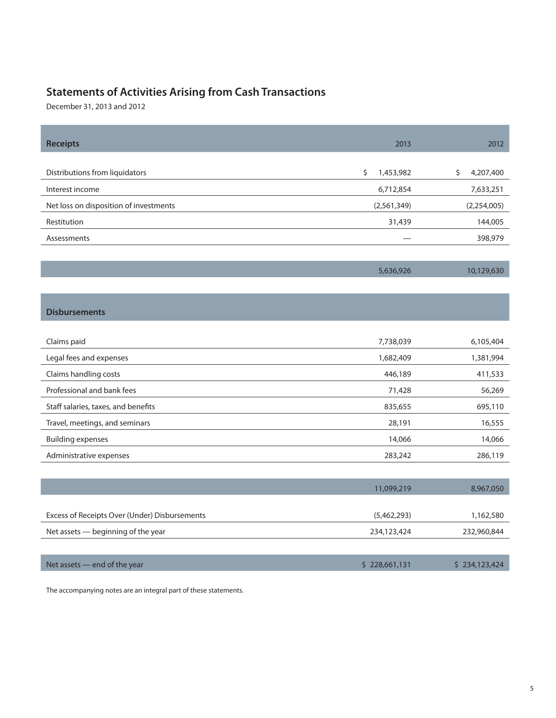# **Statements of Activities Arising from Cash Transactions**

December 31, 2013 and 2012

| <b>Receipts</b>                               | 2013            | 2012            |
|-----------------------------------------------|-----------------|-----------------|
| Distributions from liquidators                | \$<br>1,453,982 | \$<br>4,207,400 |
|                                               |                 |                 |
| Interest income                               | 6,712,854       | 7,633,251       |
| Net loss on disposition of investments        | (2,561,349)     | (2,254,005)     |
| Restitution                                   | 31,439          | 144,005         |
| Assessments                                   |                 | 398,979         |
|                                               |                 |                 |
|                                               | 5,636,926       | 10,129,630      |
|                                               |                 |                 |
|                                               |                 |                 |
| <b>Disbursements</b>                          |                 |                 |
|                                               |                 |                 |
| Claims paid                                   | 7,738,039       | 6,105,404       |
| Legal fees and expenses                       | 1,682,409       | 1,381,994       |
| Claims handling costs                         | 446,189         | 411,533         |
| Professional and bank fees                    | 71,428          | 56,269          |
| Staff salaries, taxes, and benefits           | 835,655         | 695,110         |
| Travel, meetings, and seminars                | 28,191          | 16,555          |
| <b>Building expenses</b>                      | 14,066          | 14,066          |
| Administrative expenses                       | 283,242         | 286,119         |
|                                               |                 |                 |
|                                               | 11,099,219      | 8,967,050       |
|                                               |                 |                 |
| Excess of Receipts Over (Under) Disbursements | (5,462,293)     | 1,162,580       |
| Net assets - beginning of the year            | 234,123,424     | 232,960,844     |
|                                               |                 |                 |
| Net assets - end of the year                  | \$228,661,131   | \$234,123,424   |

The accompanying notes are an integral part of these statements.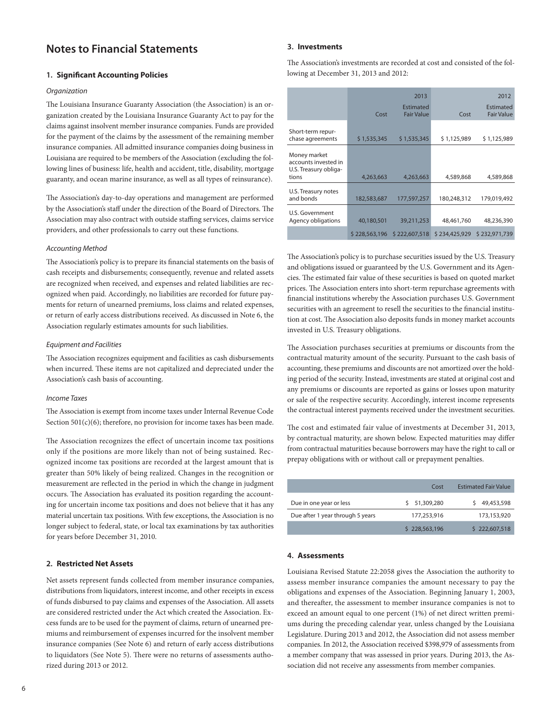### **Notes to Financial Statements**

#### 1. Significant Accounting Policies

#### Organization

The Louisiana Insurance Guaranty Association (the Association) is an organization created by the Louisiana Insurance Guaranty Act to pay for the claims against insolvent member insurance companies. Funds are provided for the payment of the claims by the assessment of the remaining member insurance companies. All admitted insurance companies doing business in Louisiana are required to be members of the Association (excluding the following lines of business: life, health and accident, title, disability, mortgage guaranty, and ocean marine insurance, as well as all types of reinsurance).

The Association's day-to-day operations and management are performed by the Association's staff under the direction of the Board of Directors. The Association may also contract with outside staffing services, claims service providers, and other professionals to carry out these functions.

#### **Accounting Method**

The Association's policy is to prepare its financial statements on the basis of cash receipts and disbursements; consequently, revenue and related assets are recognized when received, and expenses and related liabilities are recognized when paid. Accordingly, no liabilities are recorded for future payments for return of unearned premiums, loss claims and related expenses, or return of early access distributions received. As discussed in Note 6, the Association regularly estimates amounts for such liabilities.

#### **Equipment and Facilities**

The Association recognizes equipment and facilities as cash disbursements when incurred. These items are not capitalized and depreciated under the Association's cash basis of accounting.

#### **Income Taxes**

The Association is exempt from income taxes under Internal Revenue Code Section  $501(c)(6)$ ; therefore, no provision for income taxes has been made.

The Association recognizes the effect of uncertain income tax positions only if the positions are more likely than not of being sustained. Recognized income tax positions are recorded at the largest amount that is greater than 50% likely of being realized. Changes in the recognition or measurement are reflected in the period in which the change in judgment occurs. The Association has evaluated its position regarding the accounting for uncertain income tax positions and does not believe that it has any material uncertain tax positions. With few exceptions, the Association is no longer subject to federal, state, or local tax examinations by tax authorities for years before December 31, 2010.

#### 2. Restricted Net Assets

Net assets represent funds collected from member insurance companies, distributions from liquidators, interest income, and other receipts in excess of funds disbursed to pay claims and expenses of the Association. All assets are considered restricted under the Act which created the Association. Excess funds are to be used for the payment of claims, return of unearned premiums and reimbursement of expenses incurred for the insolvent member insurance companies (See Note 6) and return of early access distributions to liquidators (See Note 5). There were no returns of assessments authorized during 2013 or 2012.

#### 3. Investments

The Association's investments are recorded at cost and consisted of the following at December 31, 2013 and 2012:

|                                                                        | Cost          | 2013<br>Estimated<br><b>Fair Value</b> | Cost          | 2012<br>Estimated<br><b>Fair Value</b> |
|------------------------------------------------------------------------|---------------|----------------------------------------|---------------|----------------------------------------|
| Short-term repur-<br>chase agreements                                  | \$1,535,345   | \$1,535,345                            | \$1,125,989   | \$1,125,989                            |
| Money market<br>accounts invested in<br>U.S. Treasury obliga-<br>tions | 4,263,663     | 4,263,663                              | 4,589,868     | 4,589,868                              |
| U.S. Treasury notes<br>and bonds                                       | 182,583,687   | 177,597,257                            | 180,248,312   | 179,019,492                            |
| U.S. Government<br>Agency obligations                                  | 40,180,501    | 39,211,253                             | 48,461,760    | 48,236,390                             |
|                                                                        | \$228,563,196 | \$222,607,518                          | \$234,425,929 | \$232,971,739                          |

The Association's policy is to purchase securities issued by the U.S. Treasury and obligations issued or guaranteed by the U.S. Government and its Agencies. The estimated fair value of these securities is based on quoted market prices. The Association enters into short-term repurchase agreements with financial institutions whereby the Association purchases U.S. Government securities with an agreement to resell the securities to the financial institution at cost. The Association also deposits funds in money market accounts invested in U.S. Treasury obligations.

The Association purchases securities at premiums or discounts from the contractual maturity amount of the security. Pursuant to the cash basis of accounting, these premiums and discounts are not amortized over the holding period of the security. Instead, investments are stated at original cost and any premiums or discounts are reported as gains or losses upon maturity or sale of the respective security. Accordingly, interest income represents the contractual interest payments received under the investment securities.

The cost and estimated fair value of investments at December 31, 2013, by contractual maturity, are shown below. Expected maturities may differ from contractual maturities because borrowers may have the right to call or prepay obligations with or without call or prepayment penalties.

|                                  | Cost          | <b>Estimated Fair Value</b> |
|----------------------------------|---------------|-----------------------------|
| Due in one year or less          | \$51,309,280  | \$49,453,598                |
| Due after 1 year through 5 years | 177,253,916   | 173,153,920                 |
|                                  | \$228,563,196 | \$222,607,518               |

#### 4. Assessments

Louisiana Revised Statute 22:2058 gives the Association the authority to assess member insurance companies the amount necessary to pay the obligations and expenses of the Association. Beginning January 1, 2003, and thereafter, the assessment to member insurance companies is not to exceed an amount equal to one percent (1%) of net direct written premiums during the preceding calendar year, unless changed by the Louisiana Legislature. During 2013 and 2012, the Association did not assess member companies. In 2012, the Association received \$398,979 of assessments from a member company that was assessed in prior years. During 2013, the Association did not receive any assessments from member companies.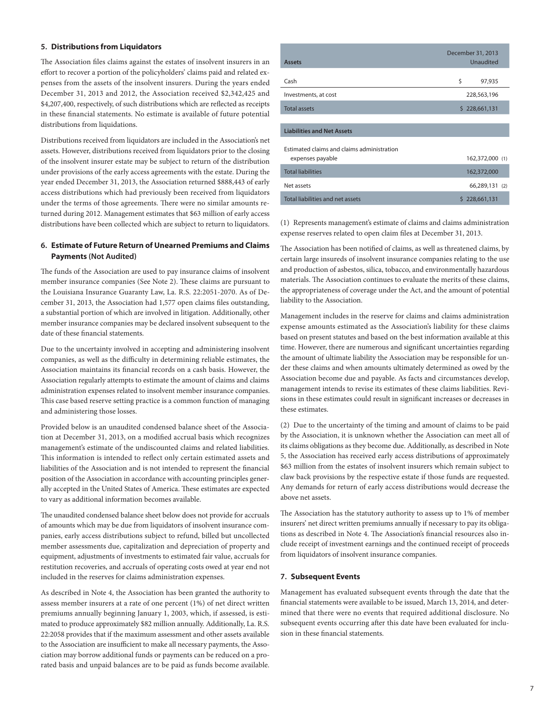#### 5. Distributions from Liquidators

The Association files claims against the estates of insolvent insurers in an effort to recover a portion of the policyholders' claims paid and related expenses from the assets of the insolvent insurers. During the years ended December 31, 2013 and 2012, the Association received \$2,342,425 and \$4,207,400, respectively, of such distributions which are reflected as receipts in these financial statements. No estimate is available of future potential distributions from liquidations.

Distributions received from liquidators are included in the Association's net assets. However, distributions received from liquidators prior to the closing of the insolvent insurer estate may be subject to return of the distribution under provisions of the early access agreements with the estate. During the year ended December 31, 2013, the Association returned \$888,443 of early access distributions which had previously been received from liquidators under the terms of those agreements. There were no similar amounts returned during 2012. Management estimates that \$63 million of early access distributions have been collected which are subject to return to liquidators.

#### 6. Estimate of Future Return of Unearned Premiums and Claims **Payments (Not Audited)**

The funds of the Association are used to pay insurance claims of insolvent member insurance companies (See Note 2). These claims are pursuant to the Louisiana Insurance Guaranty Law, La. R.S. 22:2051-2070. As of December 31, 2013, the Association had 1,577 open claims files outstanding, a substantial portion of which are involved in litigation. Additionally, other member insurance companies may be declared insolvent subsequent to the date of these financial statements.

Due to the uncertainty involved in accepting and administering insolvent companies, as well as the difficulty in determining reliable estimates, the Association maintains its financial records on a cash basis. However, the Association regularly attempts to estimate the amount of claims and claims administration expenses related to insolvent member insurance companies. This case based reserve setting practice is a common function of managing and administering those losses.

Provided below is an unaudited condensed balance sheet of the Association at December 31, 2013, on a modified accrual basis which recognizes management's estimate of the undiscounted claims and related liabilities. This information is intended to reflect only certain estimated assets and liabilities of the Association and is not intended to represent the financial position of the Association in accordance with accounting principles generally accepted in the United States of America. These estimates are expected to vary as additional information becomes available.

The unaudited condensed balance sheet below does not provide for accruals of amounts which may be due from liquidators of insolvent insurance companies, early access distributions subject to refund, billed but uncollected member assessments due, capitalization and depreciation of property and equipment, adjustments of investments to estimated fair value, accruals for restitution recoveries, and accruals of operating costs owed at year end not included in the reserves for claims administration expenses.

As described in Note 4, the Association has been granted the authority to assess member insurers at a rate of one percent (1%) of net direct written premiums annually beginning January 1, 2003, which, if assessed, is estimated to produce approximately \$82 million annually. Additionally, La. R.S. 22:2058 provides that if the maximum assessment and other assets available to the Association are insufficient to make all necessary payments, the Association may borrow additional funds or payments can be reduced on a prorated basis and unpaid balances are to be paid as funds become available.

| <b>Assets</b>                                                  | December 31, 2013<br><b>Unaudited</b> |
|----------------------------------------------------------------|---------------------------------------|
| Cash                                                           | \$<br>97,935                          |
| Investments, at cost                                           | 228,563,196                           |
| <b>Total assets</b>                                            | \$228,661,131                         |
|                                                                |                                       |
| <b>Liabilities and Net Assets</b>                              |                                       |
| Estimated claims and claims administration<br>expenses payable | 162,372,000 (1)                       |
| <b>Total liabilities</b>                                       | 162,372,000                           |
| Net assets                                                     | 66,289,131 (2)                        |
| Total liabilities and net assets                               | \$228,661,131                         |

(1) Represents management's estimate of claims and claims administration expense reserves related to open claim files at December 31, 2013.

The Association has been notified of claims, as well as threatened claims, by certain large insureds of insolvent insurance companies relating to the use and production of asbestos, silica, tobacco, and environmentally hazardous materials. The Association continues to evaluate the merits of these claims, the appropriateness of coverage under the Act, and the amount of potential liability to the Association.

Management includes in the reserve for claims and claims administration expense amounts estimated as the Association's liability for these claims based on present statutes and based on the best information available at this time. However, there are numerous and significant uncertainties regarding the amount of ultimate liability the Association may be responsible for under these claims and when amounts ultimately determined as owed by the Association become due and payable. As facts and circumstances develop, management intends to revise its estimates of these claims liabilities. Revisions in these estimates could result in significant increases or decreases in these estimates.

(2) Due to the uncertainty of the timing and amount of claims to be paid by the Association, it is unknown whether the Association can meet all of its claims obligations as they become due. Additionally, as described in Note 5, the Association has received early access distributions of approximately \$63 million from the estates of insolvent insurers which remain subject to claw back provisions by the respective estate if those funds are requested. Any demands for return of early access distributions would decrease the above net assets.

The Association has the statutory authority to assess up to 1% of member insurers' net direct written premiums annually if necessary to pay its obligations as described in Note 4. The Association's financial resources also include receipt of investment earnings and the continued receipt of proceeds from liquidators of insolvent insurance companies.

#### 7. Subsequent Events

Management has evaluated subsequent events through the date that the financial statements were available to be issued, March 13, 2014, and determined that there were no events that required additional disclosure. No subsequent events occurring after this date have been evaluated for inclusion in these financial statements.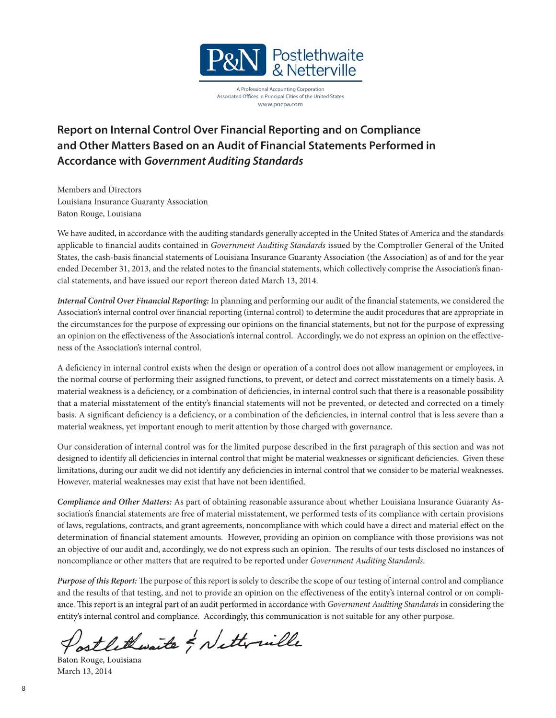

A Professional Accounting Corporation Associated Offices in Principal Cities of the United States www.pncpa.com

# Report on Internal Control Over Financial Reporting and on Compliance and Other Matters Based on an Audit of Financial Statements Performed in **Accordance with Government Auditing Standards**

Members and Directors Louisiana Insurance Guaranty Association Baton Rouge, Louisiana

We have audited, in accordance with the auditing standards generally accepted in the United States of America and the standards applicable to financial audits contained in Government Auditing Standards issued by the Comptroller General of the United States, the cash-basis financial statements of Louisiana Insurance Guaranty Association (the Association) as of and for the year ended December 31, 2013, and the related notes to the financial statements, which collectively comprise the Association's financial statements, and have issued our report thereon dated March 13, 2014.

Internal Control Over Financial Reporting: In planning and performing our audit of the financial statements, we considered the Association's internal control over financial reporting (internal control) to determine the audit procedures that are appropriate in the circumstances for the purpose of expressing our opinions on the financial statements, but not for the purpose of expressing an opinion on the effectiveness of the Association's internal control. Accordingly, we do not express an opinion on the effectiveness of the Association's internal control.

A deficiency in internal control exists when the design or operation of a control does not allow management or employees, in the normal course of performing their assigned functions, to prevent, or detect and correct misstatements on a timely basis. A material weakness is a deficiency, or a combination of deficiencies, in internal control such that there is a reasonable possibility that a material misstatement of the entity's financial statements will not be prevented, or detected and corrected on a timely basis. A significant deficiency is a deficiency, or a combination of the deficiencies, in internal control that is less severe than a material weakness, yet important enough to merit attention by those charged with governance.

Our consideration of internal control was for the limited purpose described in the first paragraph of this section and was not designed to identify all deficiencies in internal control that might be material weaknesses or significant deficiencies. Given these limitations, during our audit we did not identify any deficiencies in internal control that we consider to be material weaknesses. However, material weaknesses may exist that have not been identified.

Compliance and Other Matters: As part of obtaining reasonable assurance about whether Louisiana Insurance Guaranty Association's financial statements are free of material misstatement, we performed tests of its compliance with certain provisions of laws, regulations, contracts, and grant agreements, noncompliance with which could have a direct and material effect on the determination of financial statement amounts. However, providing an opinion on compliance with those provisions was not an objective of our audit and, accordingly, we do not express such an opinion. The results of our tests disclosed no instances of noncompliance or other matters that are required to be reported under Government Auditing Standards.

Purpose of this Report: The purpose of this report is solely to describe the scope of our testing of internal control and compliance and the results of that testing, and not to provide an opinion on the effectiveness of the entity's internal control or on compliance. This report is an integral part of an audit performed in accordance with Government Auditing Standards in considering the entity's internal control and compliance. Accordingly, this communication is not suitable for any other purpose.

ostlethwaite & Netterville

Baton Rouge, Louisiana March 13, 2014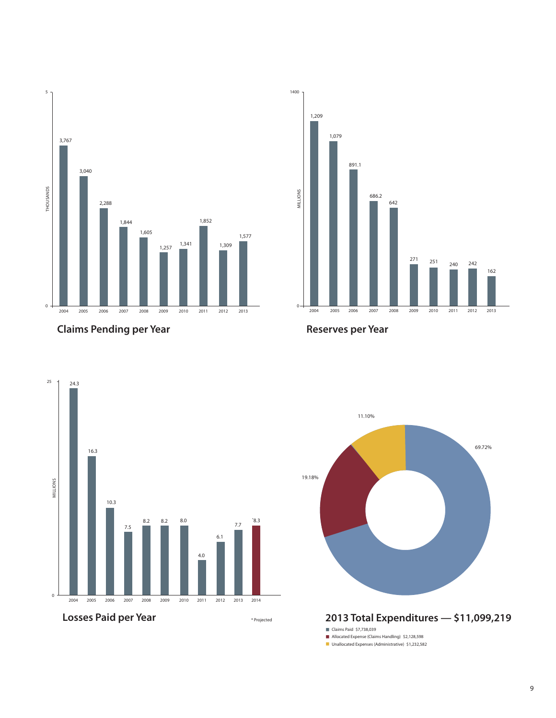



**Claims Pending per Year**



**Reserves per Year**

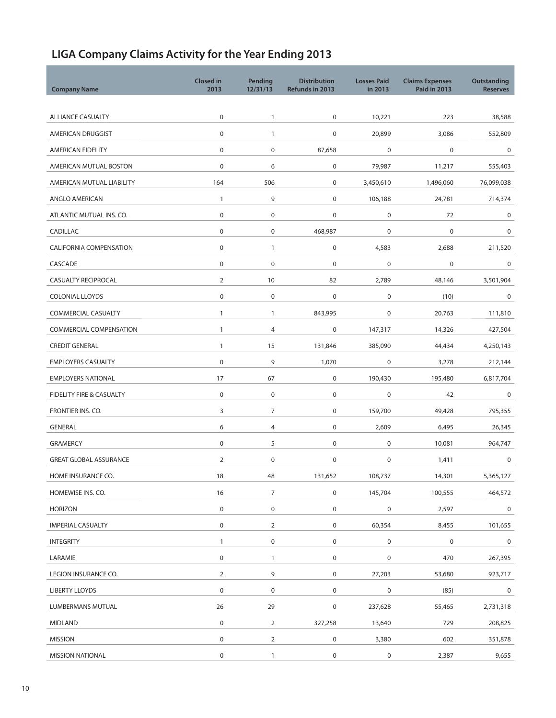# **LIGA Company Claims Activity for the Year Ending 2013**

| <b>Company Name</b>            | <b>Closed</b> in<br>2013 | Pending<br>12/31/13 | <b>Distribution</b><br>Refunds in 2013 | <b>Losses Paid</b><br>in 2013 | <b>Claims Expenses</b><br><b>Paid in 2013</b> | Outstanding<br><b>Reserves</b> |
|--------------------------------|--------------------------|---------------------|----------------------------------------|-------------------------------|-----------------------------------------------|--------------------------------|
|                                |                          |                     |                                        |                               |                                               |                                |
| <b>ALLIANCE CASUALTY</b>       | $\mathbf 0$              | $\mathbf{1}$        | $\mathbf 0$                            | 10,221                        | 223                                           | 38,588                         |
| <b>AMERICAN DRUGGIST</b>       | 0                        | $\mathbf{1}$        | 0                                      | 20,899                        | 3,086                                         | 552,809                        |
| AMERICAN FIDELITY              | $\pmb{0}$                | $\pmb{0}$           | 87,658                                 | $\pmb{0}$                     | $\mathbf 0$                                   | $\mathbf 0$                    |
| AMERICAN MUTUAL BOSTON         | $\pmb{0}$                | 6                   | $\mathbf 0$                            | 79,987                        | 11,217                                        | 555,403                        |
| AMERICAN MUTUAL LIABILITY      | 164                      | 506                 | 0                                      | 3,450,610                     | 1,496,060                                     | 76,099,038                     |
| ANGLO AMERICAN                 | $\mathbf{1}$             | 9                   | 0                                      | 106,188                       | 24,781                                        | 714,374                        |
| ATLANTIC MUTUAL INS. CO.       | $\pmb{0}$                | $\pmb{0}$           | $\boldsymbol{0}$                       | $\pmb{0}$                     | 72                                            | $\mathbf 0$                    |
| CADILLAC                       | 0                        | $\pmb{0}$           | 468,987                                | $\pmb{0}$                     | $\mathbf 0$                                   | $\mathbf 0$                    |
| <b>CALIFORNIA COMPENSATION</b> | $\pmb{0}$                | 1                   | $\pmb{0}$                              | 4,583                         | 2,688                                         | 211,520                        |
| CASCADE                        | 0                        | $\pmb{0}$           | $\pmb{0}$                              | $\pmb{0}$                     | $\boldsymbol{0}$                              | $\mathbf 0$                    |
| <b>CASUALTY RECIPROCAL</b>     | $\overline{2}$           | 10                  | 82                                     | 2,789                         | 48,146                                        | 3,501,904                      |
| <b>COLONIAL LLOYDS</b>         | 0                        | $\pmb{0}$           | $\pmb{0}$                              | $\pmb{0}$                     | (10)                                          | $\mathbf 0$                    |
| <b>COMMERCIAL CASUALTY</b>     | $\mathbf{1}$             | 1                   | 843,995                                | 0                             | 20,763                                        | 111,810                        |
| COMMERCIAL COMPENSATION        | $\mathbf{1}$             | 4                   | 0                                      | 147,317                       | 14,326                                        | 427,504                        |
| <b>CREDIT GENERAL</b>          | $\mathbf{1}$             | 15                  | 131,846                                | 385,090                       | 44,434                                        | 4,250,143                      |
| <b>EMPLOYERS CASUALTY</b>      | $\pmb{0}$                | 9                   | 1,070                                  | $\pmb{0}$                     | 3,278                                         | 212,144                        |
| <b>EMPLOYERS NATIONAL</b>      | 17                       | 67                  | $\mathbf 0$                            | 190,430                       | 195,480                                       | 6,817,704                      |
| FIDELITY FIRE & CASUALTY       | $\mathbf 0$              | $\pmb{0}$           | $\pmb{0}$                              | $\pmb{0}$                     | 42                                            | $\mathbf 0$                    |
| FRONTIER INS. CO.              | 3                        | 7                   | 0                                      | 159,700                       | 49,428                                        | 795,355                        |
| GENERAL                        | 6                        | 4                   | $\mathsf 0$                            | 2,609                         | 6,495                                         | 26,345                         |
| <b>GRAMERCY</b>                | 0                        | 5                   | $\pmb{0}$                              | $\pmb{0}$                     | 10,081                                        | 964,747                        |
| <b>GREAT GLOBAL ASSURANCE</b>  | $\overline{2}$           | 0                   | $\pmb{0}$                              | 0                             | 1,411                                         | $\pmb{0}$                      |
| HOME INSURANCE CO.             | 18                       | 48                  | 131,652                                | 108,737                       | 14,301                                        | 5,365,127                      |
| HOMEWISE INS. CO.              | 16                       | $\overline{7}$      | 0                                      | 145,704                       | 100,555                                       | 464,572                        |
| <b>HORIZON</b>                 | 0                        | 0                   | $\mathbf 0$                            | $\pmb{0}$                     | 2,597                                         | $\boldsymbol{0}$               |
| <b>IMPERIAL CASUALTY</b>       | 0                        | $\overline{2}$      | 0                                      | 60,354                        | 8,455                                         | 101,655                        |
| <b>INTEGRITY</b>               | $\mathbf{1}$             | 0                   | $\mathsf{O}\xspace$                    | $\pmb{0}$                     | $\pmb{0}$                                     | $\boldsymbol{0}$               |
| LARAMIE                        | 0                        | $\mathbf{1}$        | $\mathsf{O}\xspace$                    | $\pmb{0}$                     | 470                                           | 267,395                        |
| LEGION INSURANCE CO.           | $\overline{2}$           | 9                   | 0                                      | 27,203                        | 53,680                                        | 923,717                        |
| <b>LIBERTY LLOYDS</b>          | 0                        | 0                   | $\mathbf 0$                            | $\pmb{0}$                     | (85)                                          | 0                              |
| LUMBERMANS MUTUAL              | 26                       | 29                  | 0                                      | 237,628                       | 55,465                                        | 2,731,318                      |
| <b>MIDLAND</b>                 | $\mathbf 0$              | $\overline{2}$      | 327,258                                | 13,640                        | 729                                           | 208,825                        |
| <b>MISSION</b>                 | 0                        | $\overline{2}$      | $\mathbf 0$                            | 3,380                         | 602                                           | 351,878                        |
| <b>MISSION NATIONAL</b>        | 0                        | $\mathbf{1}$        | $\mathsf{O}\xspace$                    | $\pmb{0}$                     | 2,387                                         | 9,655                          |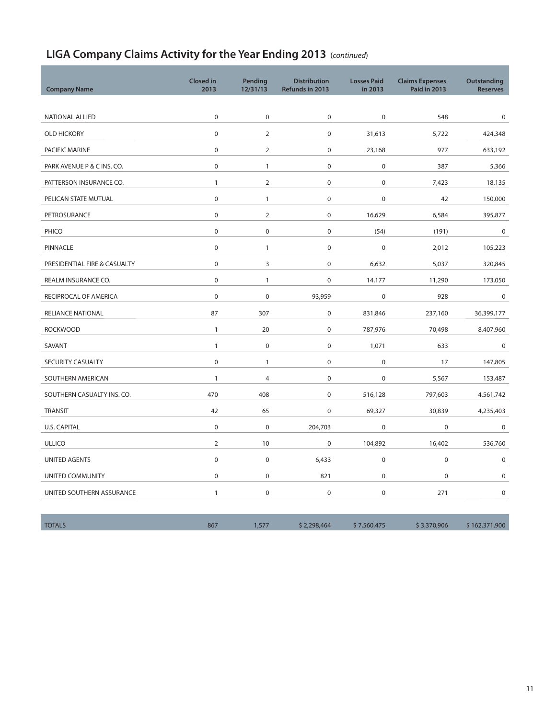# **LIGA Company Claims Activity for the Year Ending 2013** (continued)

| <b>Company Name</b>          | <b>Closed</b> in<br>2013 | Pending<br>12/31/13 | <b>Distribution</b><br>Refunds in 2013 | <b>Losses Paid</b><br>in 2013 | <b>Claims Expenses</b><br><b>Paid in 2013</b> | <b>Outstanding</b><br><b>Reserves</b> |
|------------------------------|--------------------------|---------------------|----------------------------------------|-------------------------------|-----------------------------------------------|---------------------------------------|
|                              |                          |                     |                                        |                               |                                               |                                       |
| <b>NATIONAL ALLIED</b>       | $\mathbf 0$              | $\pmb{0}$           | 0                                      | $\mathbf 0$                   | 548                                           | $\boldsymbol{0}$                      |
| <b>OLD HICKORY</b>           | $\mathbf 0$              | $\overline{2}$      | 0                                      | 31,613                        | 5,722                                         | 424,348                               |
| PACIFIC MARINE               | $\pmb{0}$                | $\overline{2}$      | 0                                      | 23,168                        | 977                                           | 633,192                               |
| PARK AVENUE P & C INS. CO.   | $\pmb{0}$                | $\mathbf{1}$        | 0                                      | $\pmb{0}$                     | 387                                           | 5,366                                 |
| PATTERSON INSURANCE CO.      | $\mathbf{1}$             | $\overline{2}$      | 0                                      | $\mathbf 0$                   | 7,423                                         | 18,135                                |
| PELICAN STATE MUTUAL         | $\mathbf 0$              | $\mathbf{1}$        | 0                                      | $\mathbf 0$                   | 42                                            | 150,000                               |
| PETROSURANCE                 | $\pmb{0}$                | $\overline{2}$      | 0                                      | 16,629                        | 6,584                                         | 395,877                               |
| PHICO                        | $\mathbf 0$              | $\pmb{0}$           | 0                                      | (54)                          | (191)                                         | $\mathbf 0$                           |
| <b>PINNACLE</b>              | 0                        | $\mathbf{1}$        | 0                                      | $\mathbf 0$                   | 2,012                                         | 105,223                               |
| PRESIDENTIAL FIRE & CASUALTY | $\pmb{0}$                | 3                   | $\pmb{0}$                              | 6,632                         | 5,037                                         | 320,845                               |
| REALM INSURANCE CO.          | $\mathbf 0$              | $\mathbf{1}$        | $\mathbf 0$                            | 14,177                        | 11,290                                        | 173,050                               |
| RECIPROCAL OF AMERICA        | $\mathbf 0$              | $\pmb{0}$           | 93,959                                 | $\mathbf 0$                   | 928                                           | $\mathbf 0$                           |
| <b>RELIANCE NATIONAL</b>     | 87                       | 307                 | 0                                      | 831,846                       | 237,160                                       | 36,399,177                            |
| <b>ROCKWOOD</b>              | $\mathbf{1}$             | 20                  | 0                                      | 787,976                       | 70,498                                        | 8,407,960                             |
| SAVANT                       | $\mathbf{1}$             | $\mathbf 0$         | 0                                      | 1,071                         | 633                                           | $\pmb{0}$                             |
| SECURITY CASUALTY            | $\pmb{0}$                | $\mathbf{1}$        | $\mathsf 0$                            | $\mathbf 0$                   | 17                                            | 147,805                               |
| SOUTHERN AMERICAN            | $\mathbf{1}$             | $\overline{4}$      | 0                                      | $\mathbf 0$                   | 5,567                                         | 153,487                               |
| SOUTHERN CASUALTY INS. CO.   | 470                      | 408                 | $\pmb{0}$                              | 516,128                       | 797,603                                       | 4,561,742                             |
| <b>TRANSIT</b>               | 42                       | 65                  | $\mathsf 0$                            | 69,327                        | 30,839                                        | 4,235,403                             |
| <b>U.S. CAPITAL</b>          | $\mathbf 0$              | $\boldsymbol{0}$    | 204,703                                | $\mathbf 0$                   | $\mathbf 0$                                   | $\boldsymbol{0}$                      |
| <b>ULLICO</b>                | $\overline{2}$           | 10                  | $\pmb{0}$                              | 104,892                       | 16,402                                        | 536,760                               |
| <b>UNITED AGENTS</b>         | $\pmb{0}$                | $\pmb{0}$           | 6,433                                  | $\pmb{0}$                     | $\mathbf 0$                                   | $\boldsymbol{0}$                      |
| UNITED COMMUNITY             | $\mathbf 0$              | $\pmb{0}$           | 821                                    | $\mathbf 0$                   | $\mathbf 0$                                   | $\mathbf 0$                           |
| UNITED SOUTHERN ASSURANCE    | $\mathbf{1}$             | $\pmb{0}$           | $\mathbf 0$                            | $\mathbf 0$                   | 271                                           | $\mathbf 0$                           |
|                              |                          |                     |                                        |                               |                                               |                                       |
| <b>TOTALS</b>                | 867                      | 1,577               | \$2,298,464                            | \$7,560,475                   | \$3,370,906                                   | \$162,371,900                         |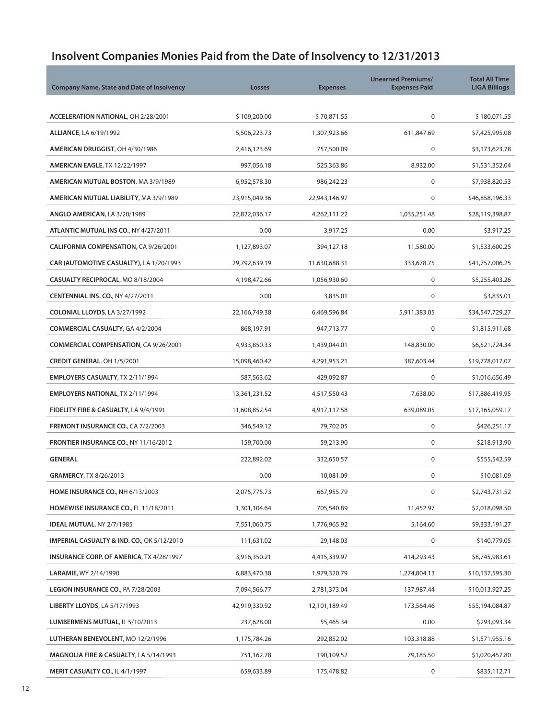# **Insolvent Companies Monies Paid from the Date of Insolvency to 12/31/2013**

| <b>Company Name, State and Date of Insolvency</b> | <b>Losses</b> | <b>Expenses</b> | <b>Unearned Premiums/</b><br><b>Expenses Paid</b> | <b>Total All Time</b><br><b>LIGA Billings</b> |
|---------------------------------------------------|---------------|-----------------|---------------------------------------------------|-----------------------------------------------|
| ACCELERATION NATIONAL, OH 2/28/2001               | \$109,200.00  | \$70,871.55     | $\mathbf 0$                                       | \$180,071.55                                  |
|                                                   | 5,506,223.73  |                 |                                                   |                                               |
| <b>ALLIANCE, LA 6/19/1992</b>                     |               | 1,307,923.66    | 611,847.69                                        | \$7,425,995.08                                |
| AMERICAN DRUGGIST, OH 4/30/1986                   | 2,416,123.69  | 757,500.09      | 0                                                 | \$3,173,623.78                                |
| AMERICAN EAGLE, TX 12/22/1997                     | 997,056.18    | 525,363.86      | 8,932.00                                          | \$1,531,352.04                                |
| AMERICAN MUTUAL BOSTON, MA 3/9/1989               | 6,952,578.30  | 986,242.23      | $\boldsymbol{0}$                                  | \$7,938,820.53                                |
| AMERICAN MUTUAL LIABILITY, MA 3/9/1989            | 23,915,049.36 | 22,943,146.97   | 0                                                 | \$46,858,196.33                               |
| ANGLO AMERICAN, LA 3/20/1989                      | 22,822,036.17 | 4,262,111.22    | 1,035,251.48                                      | \$28,119,398.87                               |
| ATLANTIC MUTUAL INS CO., NY 4/27/2011             | 0.00          | 3,917.25        | 0.00                                              | \$3,917.25                                    |
| CALIFORNIA COMPENSATION, CA 9/26/2001             | 1,127,893.07  | 394,127.18      | 11,580.00                                         | \$1,533,600.25                                |
| CAR (AUTOMOTIVE CASUALTY), LA 1/20/1993           | 29,792,639.19 | 11,630,688.31   | 333,678.75                                        | \$41,757,006.25                               |
| CASUALTY RECIPROCAL, MO 8/18/2004                 | 4,198,472.66  | 1,056,930.60    | $\boldsymbol{0}$                                  | \$5,255,403.26                                |
| <b>CENTENNIAL INS. CO., NY 4/27/2011</b>          | 0.00          | 3,835.01        | $\mathbf 0$                                       | \$3,835.01                                    |
| COLONIAL LLOYDS, LA 3/27/1992                     | 22,166,749.38 | 6,469,596.84    | 5,911,383.05                                      | \$34,547,729.27                               |
| <b>COMMERCIAL CASUALTY, GA 4/2/2004</b>           | 868,197.91    | 947,713.77      | $\mathbf 0$                                       | \$1,815,911.68                                |
| COMMERCIAL COMPENSATION, CA 9/26/2001             | 4,933,850.33  | 1,439,044.01    | 148,830.00                                        | \$6,521,724.34                                |
| CREDIT GENERAL, OH 1/5/2001                       | 15,098,460.42 | 4,291,953.21    | 387,603.44                                        | \$19,778,017.07                               |
| EMPLOYERS CASUALTY, TX 2/11/1994                  | 587,563.62    | 429,092.87      | 0                                                 | \$1,016,656.49                                |
| <b>EMPLOYERS NATIONAL, TX 2/11/1994</b>           | 13,361,231.52 | 4,517,550.43    | 7,638.00                                          | \$17,886,419.95                               |
| FIDELITY FIRE & CASUALTY, LA 9/4/1991             | 11,608,852.54 | 4,917,117.58    | 639,089.05                                        | \$17,165,059.17                               |
| FREMONT INSURANCE CO., CA 7/2/2003                | 346,549.12    | 79,702.05       | $\pmb{0}$                                         | \$426,251.17                                  |
| FRONTIER INSURANCE CO., NY 11/16/2012             | 159,700.00    | 59,213.90       | $\pmb{0}$                                         | \$218,913.90                                  |
| <b>GENERAL</b>                                    | 222,892.02    | 332,650.57      | $\pmb{0}$                                         | \$555,542.59                                  |
| <b>GRAMERCY, TX 8/26/2013</b>                     | 0.00          | 10,081.09       | 0                                                 | \$10,081.09                                   |
| HOME INSURANCE CO., NH 6/13/2003                  | 2,075,775.73  | 667,955.79      | $\mathbf 0$                                       | \$2,743,731.52                                |
| HOMEWISE INSURANCE CO., FL 11/18/2011             | 1,301,104.64  | 705,540.89      | 11,452.97                                         | \$2,018,098.50                                |
| IDEAL MUTUAL, NY 2/7/1985                         | 7,551,060.75  | 1,776,965.92    | 5,164.60                                          | \$9,333,191.27                                |
| IMPERIAL CASUALTY & IND. CO., OK 5/12/2010        | 111,631.02    | 29,148.03       | 0                                                 | \$140,779.05                                  |
| INSURANCE CORP. OF AMERICA, TX 4/28/1997          | 3,916,350.21  | 4,415,339.97    | 414,293.43                                        | \$8,745,983.61                                |
| LARAMIE, WY 2/14/1990                             | 6,883,470.38  | 1,979,320.79    | 1,274,804.13                                      | \$10,137,595.30                               |
| LEGION INSURANCE CO., PA 7/28/2003                | 7,094,566.77  | 2,781,373.04    | 137,987.44                                        | \$10,013,927.25                               |
| LIBERTY LLOYDS, LA 5/17/1993                      | 42,919,330.92 | 12,101,189.49   | 173,564.46                                        | \$55,194,084.87                               |
| LUMBERMENS MUTUAL, IL 5/10/2013                   | 237,628.00    | 55,465.34       | 0.00                                              | \$293,093.34                                  |
| LUTHERAN BENEVOLENT, MO 12/2/1996                 | 1,175,784.26  | 292,852.02      | 103,318.88                                        | \$1,571,955.16                                |
| MAGNOLIA FIRE & CASUALTY, LA 5/14/1993            | 751,162.78    | 190,109.52      | 79,185.50                                         | \$1,020,457.80                                |
| MERIT CASUALTY CO., IL 4/1/1997                   | 659,633.89    | 175,478.82      | 0                                                 | \$835,112.71                                  |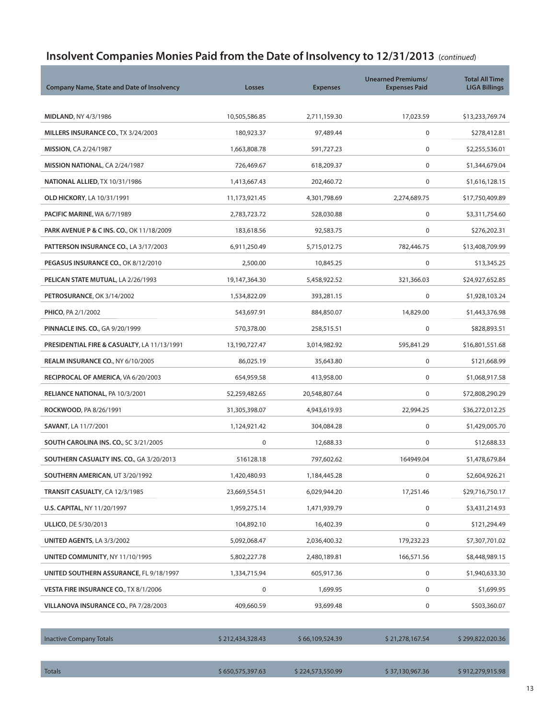# **Insolvent Companies Monies Paid from the Date of Insolvency to 12/31/2013** (continued)

| <b>Company Name, State and Date of Insolvency</b> | <b>Losses</b>    | <b>Expenses</b> | <b>Unearned Premiums/</b><br><b>Expenses Paid</b> | <b>Total All Time</b><br><b>LIGA Billings</b> |
|---------------------------------------------------|------------------|-----------------|---------------------------------------------------|-----------------------------------------------|
|                                                   |                  |                 |                                                   |                                               |
| MIDLAND, NY 4/3/1986                              | 10,505,586.85    | 2,711,159.30    | 17,023.59                                         | \$13,233,769.74                               |
| MILLERS INSURANCE CO., TX 3/24/2003               | 180,923.37       | 97,489.44       | $\mathbf 0$                                       | \$278,412.81                                  |
| <b>MISSION, CA 2/24/1987</b>                      | 1,663,808.78     | 591,727.23      | $\mathbf 0$                                       | \$2,255,536.01                                |
| MISSION NATIONAL, CA 2/24/1987                    | 726,469.67       | 618,209.37      | $\mathbf 0$                                       | \$1,344,679.04                                |
| NATIONAL ALLIED, TX 10/31/1986                    | 1,413,667.43     | 202,460.72      | 0                                                 | \$1,616,128.15                                |
| <b>OLD HICKORY, LA 10/31/1991</b>                 | 11,173,921.45    | 4,301,798.69    | 2,274,689.75                                      | \$17,750,409.89                               |
| PACIFIC MARINE, WA 6/7/1989                       | 2,783,723.72     | 528,030.88      | $\mathbf 0$                                       | \$3,311,754.60                                |
| PARK AVENUE P & C INS. CO., OK 11/18/2009         | 183,618.56       | 92,583.75       | 0                                                 | \$276,202.31                                  |
| PATTERSON INSURANCE CO., LA 3/17/2003             | 6,911,250.49     | 5,715,012.75    | 782,446.75                                        | \$13,408,709.99                               |
| PEGASUS INSURANCE CO., OK 8/12/2010               | 2,500.00         | 10,845.25       | $\mathbf 0$                                       | \$13,345.25                                   |
| PELICAN STATE MUTUAL, LA 2/26/1993                | 19,147,364.30    | 5,458,922.52    | 321,366.03                                        | \$24,927,652.85                               |
| PETROSURANCE, OK 3/14/2002                        | 1,534,822.09     | 393,281.15      | $\Omega$                                          | \$1,928,103.24                                |
| PHICO, PA 2/1/2002                                | 543,697.91       | 884,850.07      | 14,829.00                                         | \$1,443,376.98                                |
| PINNACLE INS. CO., GA 9/20/1999                   | 570,378.00       | 258,515.51      | $\mathbf 0$                                       | \$828,893.51                                  |
| PRESIDENTIAL FIRE & CASUALTY, LA 11/13/1991       | 13,190,727.47    | 3,014,982.92    | 595,841.29                                        | \$16,801,551.68                               |
| REALM INSURANCE CO., NY 6/10/2005                 | 86,025.19        | 35,643.80       | $\mathbf 0$                                       | \$121,668.99                                  |
| RECIPROCAL OF AMERICA, VA 6/20/2003               | 654,959.58       | 413,958.00      | 0                                                 | \$1,068,917.58                                |
| RELIANCE NATIONAL, PA 10/3/2001                   | 52,259,482.65    | 20,548,807.64   | 0                                                 | \$72,808,290.29                               |
| ROCKWOOD, PA 8/26/1991                            | 31,305,398.07    | 4,943,619.93    | 22,994.25                                         | \$36,272,012.25                               |
| <b>SAVANT, LA 11/7/2001</b>                       | 1,124,921.42     | 304,084.28      | $\mathbf 0$                                       | \$1,429,005.70                                |
| SOUTH CAROLINA INS. CO., SC 3/21/2005             | $\mathbf 0$      | 12,688.33       | 0                                                 | \$12,688.33                                   |
| SOUTHERN CASUALTY INS. CO., GA 3/20/2013          | 516128.18        | 797,602.62      | 164949.04                                         | \$1,478,679.84                                |
| SOUTHERN AMERICAN, UT 3/20/1992                   | 1,420,480.93     | 1,184,445.28    | $\mathbf 0$                                       | \$2,604,926.21                                |
| TRANSIT CASUALTY, CA 12/3/1985                    | 23,669,554.51    | 6,029,944.20    | 17,251.46                                         | \$29,716,750.17                               |
| <b>U.S. CAPITAL, NY 11/20/1997</b>                | 1,959,275.14     | 1,471,939.79    | 0                                                 | \$3,431,214.93                                |
| <b>ULLICO, DE 5/30/2013</b>                       | 104,892.10       | 16,402.39       | 0                                                 | \$121,294.49                                  |
| UNITED AGENTS, LA 3/3/2002                        | 5,092,068.47     | 2,036,400.32    | 179,232.23                                        | \$7,307,701.02                                |
| UNITED COMMUNITY, NY 11/10/1995                   | 5,802,227.78     | 2,480,189.81    | 166,571.56                                        | \$8,448,989.15                                |
| <b>UNITED SOUTHERN ASSURANCE, FL 9/18/1997</b>    | 1,334,715.94     | 605,917.36      | $\mathbf 0$                                       | \$1,940,633.30                                |
| VESTA FIRE INSURANCE CO., TX 8/1/2006             | $\pmb{0}$        | 1,699.95        | 0                                                 | \$1,699.95                                    |
| VILLANOVA INSURANCE CO., PA 7/28/2003             | 409,660.59       | 93,699.48       | 0                                                 | \$503,360.07                                  |
|                                                   |                  |                 |                                                   |                                               |
| <b>Inactive Company Totals</b>                    | \$212,434,328.43 | \$66,109,524.39 | \$21,278,167.54                                   | \$299,822,020.36                              |
|                                                   |                  |                 |                                                   |                                               |

Totals **1980** 5 650,575,397.63 \$ 224,573,550.99 \$ 37,130,967.36 \$ 912,279,915.98